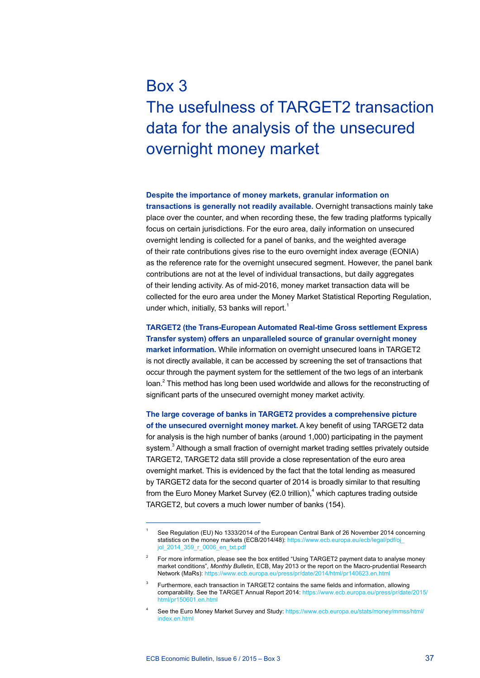# Box 3 The usefulness of TARGET2 transaction data for the analysis of the unsecured overnight money market

### **Despite the importance of money markets, granular information on**

**transactions is generally not readily available.** Overnight transactions mainly take place over the counter, and when recording these, the few trading platforms typically focus on certain jurisdictions. For the euro area, daily information on unsecured overnight lending is collected for a panel of banks, and the weighted average of their rate contributions gives rise to the euro overnight index average (EONIA) as the reference rate for the overnight unsecured segment. However, the panel bank contributions are not at the level of individual transactions, but daily aggregates of their lending activity. As of mid-2016, money market transaction data will be collected for the euro area under the Money Market Statistical Reporting Regulation, under which, initially, 53 banks will report.<sup>1</sup>

**TARGET2 (the Trans-European Automated Real-time Gross settlement Express Transfer system) offers an unparalleled source of granular overnight money market information.** While information on overnight unsecured loans in TARGET2 is not directly available, it can be accessed by screening the set of transactions that occur through the payment system for the settlement of the two legs of an interbank loan.<sup>2</sup> This method has long been used worldwide and allows for the reconstructing of significant parts of the unsecured overnight money market activity.

**The large coverage of banks in TARGET2 provides a comprehensive picture of the unsecured overnight money market.** A key benefit of using TARGET2 data for analysis is the high number of banks (around 1,000) participating in the payment system.<sup>3</sup> Although a small fraction of overnight market trading settles privately outside TARGET2, TARGET2 data still provide a close representation of the euro area overnight market. This is evidenced by the fact that the total lending as measured by TARGET2 data for the second quarter of 2014 is broadly similar to that resulting from the Euro Money Market Survey (€2.0 trillion),<sup>4</sup> which captures trading outside TARGET2, but covers a much lower number of banks (154).

See Regulation (EU) No 1333/2014 of the European Central Bank of 26 November 2014 concerning statistics on the money markets (ECB/2014/48): [https://www.ecb.europa.eu/ecb/legal/pdf/oj\\_](https://www.ecb.europa.eu/ecb/legal/pdf/oj_jol_2014_359_r_0006_en_txt.pdf) [jol\\_2014\\_359\\_r\\_0006\\_en\\_txt.pdf](https://www.ecb.europa.eu/ecb/legal/pdf/oj_jol_2014_359_r_0006_en_txt.pdf)

<sup>2</sup> For more information, please see the box entitled "Using TARGET2 payment data to analyse money market conditions", *Monthly Bulletin*, ECB, May 2013 or the report on the Macro-prudential Research Network (MaRs): https://www.ecb.europa.eu/press/pr/date/2014/html/pr140623.en.html

<sup>3</sup> Furthermore, each transaction in TARGET2 contains the same fields and information, allowing comparability. See the TARGET Annual Report 2014: [https://www.ecb.europa.eu/press/pr/date/2015/](https://www.ecb.europa.eu/press/pr/date/2015/html/pr150601.en.html) html/pr150601 en.html

See the Euro Money Market Survey and Study: [https://www.ecb.europa.eu/stats/money/mmss/html/](https://www.ecb.europa.eu/stats/money/mmss/html/index.en.html) index en html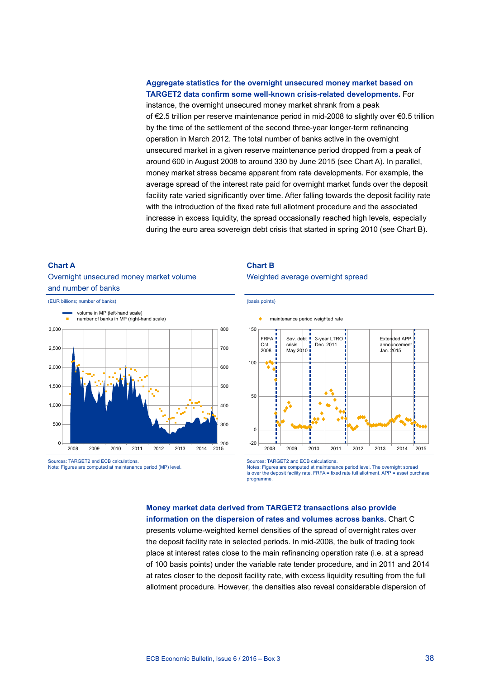## **Aggregate statistics for the overnight unsecured money market based on TARGET2 data confirm some well-known crisis-related developments.** For

instance, the overnight unsecured money market shrank from a peak of €2.5 trillion per reserve maintenance period in mid-2008 to slightly over €0.5 trillion by the time of the settlement of the second three-year longer-term refinancing operation in March 2012. The total number of banks active in the overnight unsecured market in a given reserve maintenance period dropped from a peak of around 600 in August 2008 to around 330 by June 2015 (see Chart A). In parallel, money market stress became apparent from rate developments. For example, the average spread of the interest rate paid for overnight market funds over the deposit facility rate varied significantly over time. After falling towards the deposit facility rate with the introduction of the fixed rate full allotment procedure and the associated increase in excess liquidity, the spread occasionally reached high levels, especially during the euro area sovereign debt crisis that started in spring 2010 (see Chart B).

### **Chart a**

## Overnight unsecured money market volume and number of banks



Sources: TARGET2 and ECB calculations.

## **Chart B**

Weighted average overnight spread



Sources: TARGET2 and ECB calculations.

Notes: Figures are computed at maintenance period level. The overnight spread<br>is over the deposit facility rate. FRFA = fixed rate full allotment. APP = asset purchase programme.

# **Money market data derived from TARGET2 transactions also provide**

**information on the dispersion of rates and volumes across banks.** Chart C presents volume-weighted kernel densities of the spread of overnight rates over the deposit facility rate in selected periods. In mid-2008, the bulk of trading took place at interest rates close to the main refinancing operation rate (i.e. at a spread of 100 basis points) under the variable rate tender procedure, and in 2011 and 2014 at rates closer to the deposit facility rate, with excess liquidity resulting from the full allotment procedure. However, the densities also reveal considerable dispersion of

Note: Figures are computed at maintenance period (MP) level.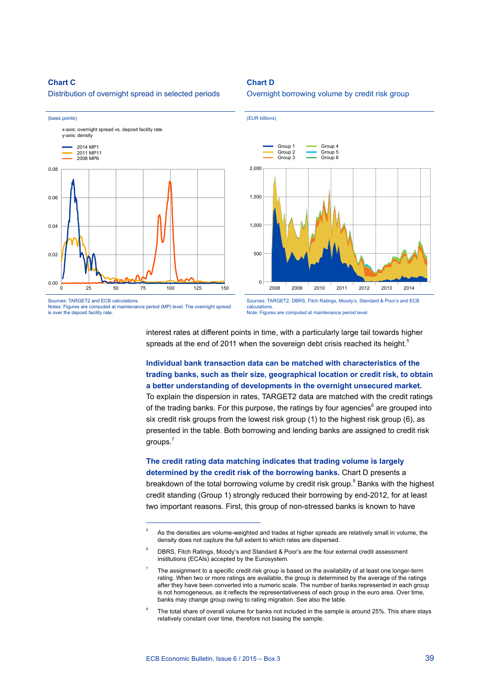## **Chart C**

Distribution of overnight spread in selected periods



Notes: Figures are computed at maintenance period (MP) level. The overnight spread is over the deposit facility rate.

Overnight borrowing volume by credit risk group

**Chart D**



Sources: TARGET2, DBRS, Fitch Ratings, Moody's, Standard & Poor's and ECB calculations. Note: Figures are computed at maintenance period level.

interest rates at different points in time, with a particularly large tail towards higher spreads at the end of 2011 when the sovereign debt crisis reached its height.<sup>5</sup>

## **Individual bank transaction data can be matched with characteristics of the trading banks, such as their size, geographical location or credit risk, to obtain a better understanding of developments in the overnight unsecured market.**

To explain the dispersion in rates, TARGET2 data are matched with the credit ratings of the trading banks. For this purpose, the ratings by four agencies<sup>6</sup> are grouped into six credit risk groups from the lowest risk group (1) to the highest risk group (6), as presented in the table. Both borrowing and lending banks are assigned to credit risk groups.<sup>7</sup>

# **The credit rating data matching indicates that trading volume is largely determined by the credit risk of the borrowing banks.** Chart D presents a

breakdown of the total borrowing volume by credit risk group.<sup>8</sup> Banks with the highest credit standing (Group 1) strongly reduced their borrowing by end-2012, for at least two important reasons. First, this group of non-stressed banks is known to have

As the densities are volume-weighted and trades at higher spreads are relatively small in volume, the density does not capture the full extent to which rates are dispersed.

DBRS, Fitch Ratings, Moody's and Standard & Poor's are the four external credit assessment institutions (ECAIs) accepted by the Eurosystem.

The assignment to a specific credit risk group is based on the availability of at least one longer-term rating. When two or more ratings are available, the group is determined by the average of the ratings after they have been converted into a numeric scale. The number of banks represented in each group is not homogeneous, as it reflects the representativeness of each group in the euro area. Over time, banks may change group owing to rating migration. See also the table.

The total share of overall volume for banks not included in the sample is around 25%. This share stays relatively constant over time, therefore not biasing the sample.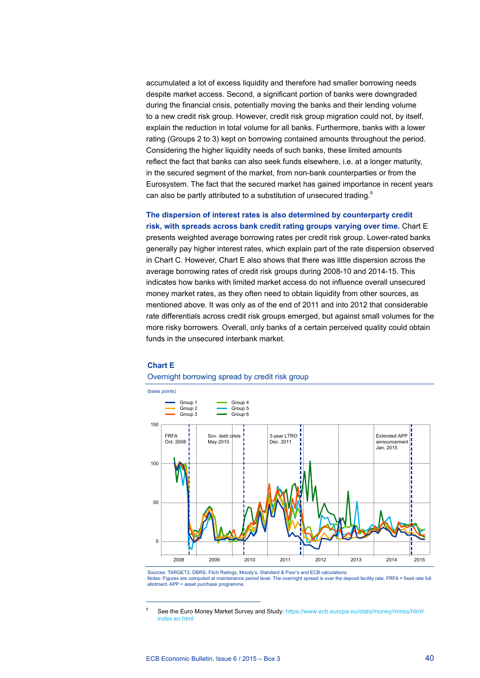accumulated a lot of excess liquidity and therefore had smaller borrowing needs despite market access. Second, a significant portion of banks were downgraded during the financial crisis, potentially moving the banks and their lending volume to a new credit risk group. However, credit risk group migration could not, by itself, explain the reduction in total volume for all banks. Furthermore, banks with a lower rating (Groups 2 to 3) kept on borrowing contained amounts throughout the period. Considering the higher liquidity needs of such banks, these limited amounts reflect the fact that banks can also seek funds elsewhere, i.e. at a longer maturity, in the secured segment of the market, from non-bank counterparties or from the Eurosystem. The fact that the secured market has gained importance in recent years can also be partly attributed to a substitution of unsecured trading.<sup>9</sup>

**The dispersion of interest rates is also determined by counterparty credit risk, with spreads across bank credit rating groups varying over time.** Chart E presents weighted average borrowing rates per credit risk group. Lower-rated banks generally pay higher interest rates, which explain part of the rate dispersion observed in Chart C. However, Chart E also shows that there was little dispersion across the average borrowing rates of credit risk groups during 2008-10 and 2014-15. This indicates how banks with limited market access do not influence overall unsecured money market rates, as they often need to obtain liquidity from other sources, as mentioned above. It was only as of the end of 2011 and into 2012 that considerable rate differentials across credit risk groups emerged, but against small volumes for the more risky borrowers. Overall, only banks of a certain perceived quality could obtain funds in the unsecured interbank market.

## **Chart E**

#### (basis points)  $\Omega$ 50 100 150 FRFA Oct. 2008 Sov. debt crisis May 2010 3-year LTRO Dec. 2011 Extended APP announcement Jan. 2015 2008 2009 2010 2011 2012 2013 2014 2015 Group 4 Group 5 Group 6 Group 1 Group 2 Group 3

### Overnight borrowing spread by credit risk group

Sources: TARGET2, DBRS, Fitch Ratings, Moody's, Standard & Poor's and ECB calculations. Notes: Figures are computed at maintenance period level. The overnight spread is over the deposit facility rate. FRFA = fixed rate full allotment. APP = asset purchase programme.

See the Euro Money Market Survey and Study: [https://www.ecb.europa.eu/stats/money/mmss/html/](https://www.ecb.europa.eu/stats/money/mmss/html/index.en.html) index en html